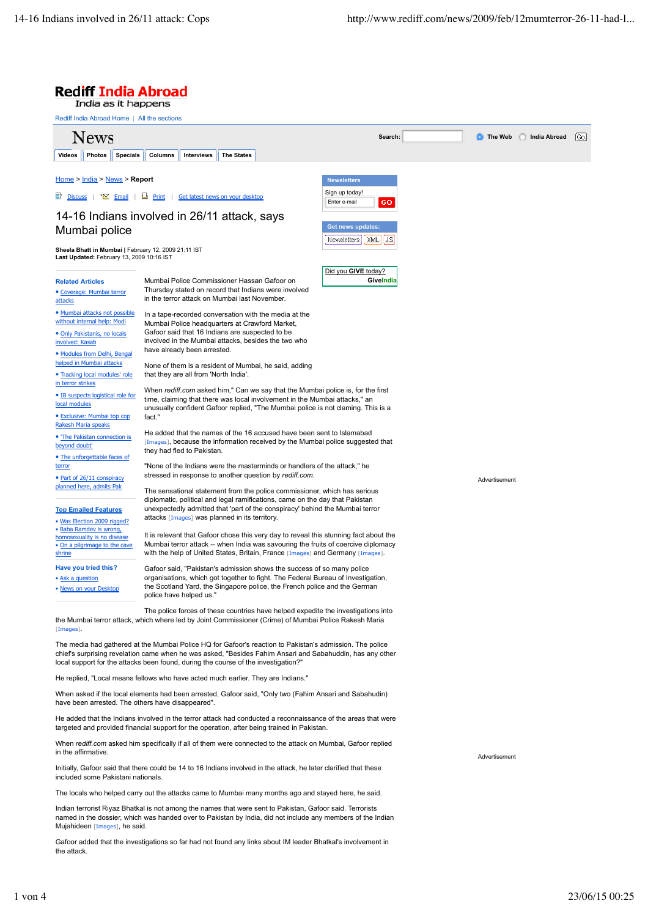$\boxed{60}$ 

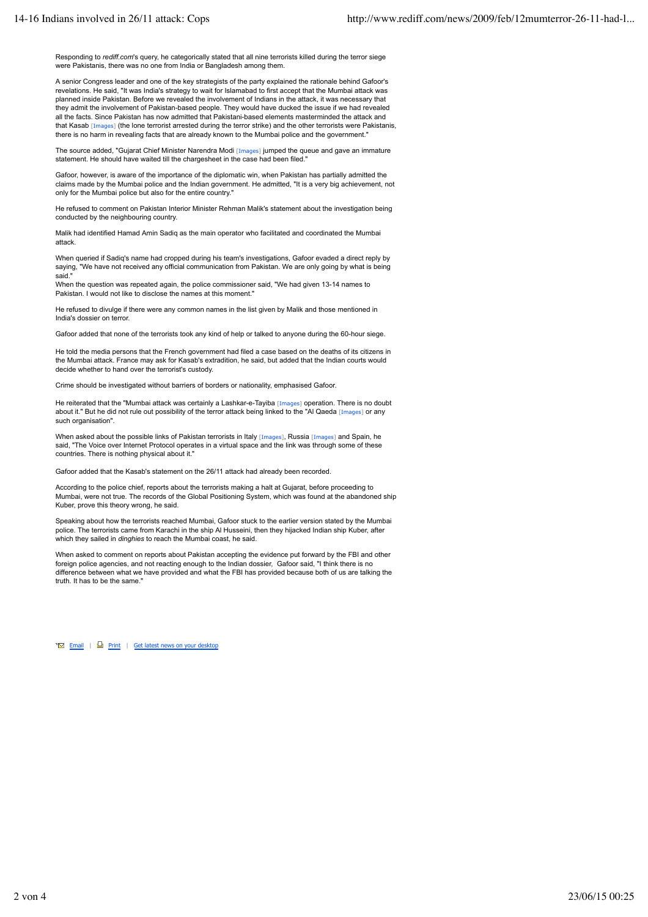Responding to *rediff.com*'s query, he categorically stated that all nine terrorists killed during the terror siege were Pakistanis, there was no one from India or Bangladesh among them.

A senior Congress leader and one of the key strategists of the party explained the rationale behind Gafoor's revelations. He said, "It was India's strategy to wait for Islamabad to first accept that the Mumbai attack was planned inside Pakistan. Before we revealed the involvement of Indians in the attack, it was necessary that they admit the involvement of Pakistan-based people. They would have ducked the issue if we had revealed all the facts. Since Pakistan has now admitted that Pakistani-based elements masterminded the attack and that Kasab [Images] (the lone terrorist arrested during the terror strike) and the other terrorists were Pakistanis, there is no harm in revealing facts that are already known to the Mumbai police and the government."

The source added, "Gujarat Chief Minister Narendra Modi [Images] jumped the queue and gave an immature statement. He should have waited till the chargesheet in the case had been filed.

Gafoor, however, is aware of the importance of the diplomatic win, when Pakistan has partially admitted the claims made by the Mumbai police and the Indian government. He admitted, "It is a very big achievement, not only for the Mumbai police but also for the entire country."

He refused to comment on Pakistan Interior Minister Rehman Malik's statement about the investigation being conducted by the neighbouring country.

Malik had identified Hamad Amin Sadiq as the main operator who facilitated and coordinated the Mumbai attack.

When queried if Sadiq's name had cropped during his team's investigations, Gafoor evaded a direct reply by saying, "We have not received any official communication from Pakistan. We are only going by what is being said."

When the question was repeated again, the police commissioner said, "We had given 13-14 names to Pakistan. I would not like to disclose the names at this moment."

He refused to divulge if there were any common names in the list given by Malik and those mentioned in India's dossier on terror.

Gafoor added that none of the terrorists took any kind of help or talked to anyone during the 60-hour siege.

He told the media persons that the French government had filed a case based on the deaths of its citizens in the Mumbai attack. France may ask for Kasab's extradition, he said, but added that the Indian courts would decide whether to hand over the terrorist's custody.

Crime should be investigated without barriers of borders or nationality, emphasised Gafoor.

He reiterated that the "Mumbai attack was certainly a Lashkar-e-Tayiba [Images] operation. There is no doubt about it." But he did not rule out possibility of the terror attack being linked to the "Al Qaeda [Images] or any such organisation"

When asked about the possible links of Pakistan terrorists in Italy [Images], Russia [Images] and Spain, he said, "The Voice over Internet Protocol operates in a virtual space and the link was through some of these countries. There is nothing physical about it."

Gafoor added that the Kasab's statement on the 26/11 attack had already been recorded.

According to the police chief, reports about the terrorists making a halt at Gujarat, before proceeding to Mumbai, were not true. The records of the Global Positioning System, which was found at the abandoned ship Kuber, prove this theory wrong, he said.

Speaking about how the terrorists reached Mumbai, Gafoor stuck to the earlier version stated by the Mumbai police. The terrorists came from Karachi in the ship Al Husseini, then they hijacked Indian ship Kuber, after which they sailed in *dinghies* to reach the Mumbai coast, he said.

When asked to comment on reports about Pakistan accepting the evidence put forward by the FBI and other foreign police agencies, and not reacting enough to the Indian dossier. Gafoor said, "I think there is no difference between what we have provided and what the FBI has provided because both of us are talking the truth. It has to be the same.

 $\overline{\bullet}$  Email |  $\Box$  Print | Get latest news on your desktop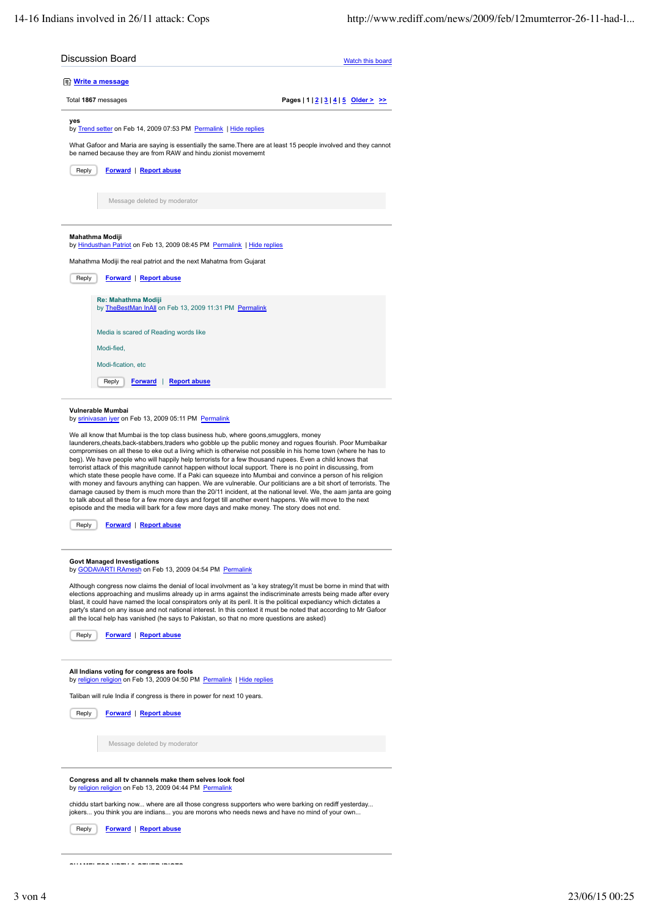| <b>Discussion Board</b>                                                                                                                                                                                                                                                                                                                                                                                                                                    | Watch this board                       |  |
|------------------------------------------------------------------------------------------------------------------------------------------------------------------------------------------------------------------------------------------------------------------------------------------------------------------------------------------------------------------------------------------------------------------------------------------------------------|----------------------------------------|--|
| <b>The Write a message</b>                                                                                                                                                                                                                                                                                                                                                                                                                                 |                                        |  |
| Total 1867 messages                                                                                                                                                                                                                                                                                                                                                                                                                                        | Pages $ 1 2 3 4 5$ Older $\geq$ $\geq$ |  |
| yes<br>by Trend setter on Feb 14, 2009 07:53 PM Permalink   Hide replies                                                                                                                                                                                                                                                                                                                                                                                   |                                        |  |
| What Gafoor and Maria are saying is essentially the same. There are at least 15 people involved and they cannot<br>be named because they are from RAW and hindu zionist movememt                                                                                                                                                                                                                                                                           |                                        |  |
| Reply<br><b>Forward</b>   <b>Report abuse</b>                                                                                                                                                                                                                                                                                                                                                                                                              |                                        |  |
| Message deleted by moderator                                                                                                                                                                                                                                                                                                                                                                                                                               |                                        |  |
|                                                                                                                                                                                                                                                                                                                                                                                                                                                            |                                        |  |
| Mahathma Modiji<br>by Hindusthan Patriot on Feb 13, 2009 08:45 PM Permalink   Hide replies                                                                                                                                                                                                                                                                                                                                                                 |                                        |  |
| Mahathma Modiji the real patriot and the next Mahatma from Gujarat                                                                                                                                                                                                                                                                                                                                                                                         |                                        |  |
| <b>Forward</b>   Report abuse<br>Reply                                                                                                                                                                                                                                                                                                                                                                                                                     |                                        |  |
| Re: Mahathma Modiji<br>by TheBestMan InAll on Feb 13, 2009 11:31 PM Permalink                                                                                                                                                                                                                                                                                                                                                                              |                                        |  |
|                                                                                                                                                                                                                                                                                                                                                                                                                                                            |                                        |  |
| Media is scared of Reading words like<br>Modi-fied,                                                                                                                                                                                                                                                                                                                                                                                                        |                                        |  |
| Modi-fication, etc                                                                                                                                                                                                                                                                                                                                                                                                                                         |                                        |  |
| Reply<br><b>Forward</b><br><b>Report abuse</b>                                                                                                                                                                                                                                                                                                                                                                                                             |                                        |  |
| Vulnerable Mumbai<br>by srinivasan iyer on Feb 13, 2009 05:11 PM Permalink                                                                                                                                                                                                                                                                                                                                                                                 |                                        |  |
| We all know that Mumbai is the top class business hub, where goons, smugglers, money                                                                                                                                                                                                                                                                                                                                                                       |                                        |  |
| launderers, cheats, back-stabbers, traders who gobble up the public money and rogues flourish. Poor Mumbaikar<br>compromises on all these to eke out a living which is otherwise not possible in his home town (where he has to                                                                                                                                                                                                                            |                                        |  |
| beg). We have people who will happily help terrorists for a few thousand rupees. Even a child knows that<br>terrorist attack of this magnitude cannot happen without local support. There is no point in discussing, from                                                                                                                                                                                                                                  |                                        |  |
| which state these people have come. If a Paki can squeeze into Mumbai and convince a person of his religion<br>with money and favours anything can happen. We are vulnerable. Our politicians are a bit short of terrorists. The                                                                                                                                                                                                                           |                                        |  |
| damage caused by them is much more than the 20/11 incident, at the national level. We, the aam janta are going<br>to talk about all these for a few more days and forget till another event happens. We will move to the next                                                                                                                                                                                                                              |                                        |  |
| episode and the media will bark for a few more days and make money. The story does not end.                                                                                                                                                                                                                                                                                                                                                                |                                        |  |
| <b>Forward</b>   <b>Report abuse</b><br>Reply                                                                                                                                                                                                                                                                                                                                                                                                              |                                        |  |
| <b>Govt Managed Investigations</b>                                                                                                                                                                                                                                                                                                                                                                                                                         |                                        |  |
| by GODAVARTI RAmesh on Feb 13, 2009 04:54 PM Permalink<br>Although congress now claims the denial of local involvment as 'a key strategy'it must be borne in mind that with                                                                                                                                                                                                                                                                                |                                        |  |
| elections approaching and muslims already up in arms against the indiscriminate arrests being made after every<br>blast, it could have named the local conspirators only at its peril. It is the political expediancy which dictates a<br>party's stand on any issue and not national interest. In this context it must be noted that according to Mr Gafoor<br>all the local help has vanished (he says to Pakistan, so that no more questions are asked) |                                        |  |
| Reply<br>Forward   Report abuse                                                                                                                                                                                                                                                                                                                                                                                                                            |                                        |  |
| All Indians voting for congress are fools                                                                                                                                                                                                                                                                                                                                                                                                                  |                                        |  |
| by religion religion on Feb 13, 2009 04:50 PM Permalink   Hide replies                                                                                                                                                                                                                                                                                                                                                                                     |                                        |  |
| Taliban will rule India if congress is there in power for next 10 years.                                                                                                                                                                                                                                                                                                                                                                                   |                                        |  |
| <b>Forward</b>   Report abuse<br>Reply                                                                                                                                                                                                                                                                                                                                                                                                                     |                                        |  |
| Message deleted by moderator                                                                                                                                                                                                                                                                                                                                                                                                                               |                                        |  |
|                                                                                                                                                                                                                                                                                                                                                                                                                                                            |                                        |  |

chiddu start barking now... where are all those congress supporters who were barking on rediff yesterday... jokers... you think you are indians... you are morons who needs news and have no mind of your own...

Reply **Forward** | **Report abuse**

**SHAMELESS NDTV & OTHER IDIOTS**